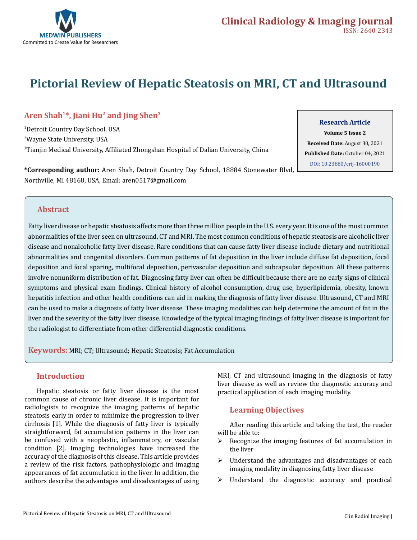

# **Pictorial Review of Hepatic Steatosis on MRI, CT and Ultrasound**

# **Aren Shah1\*, Jiani Hu2 and Jing Shen3**

1 Detroit Country Day School, USA 2 Wayne State University, USA 3 Tianjin Medical University, Affiliated Zhongshan Hospital of Dalian University, China

**\*Corresponding author:** Aren Shah, Detroit Country Day School, 18884 Stonewater Blvd, Northville, MI 48168, USA, Email: aren0517@gmail.com

# **Research Article**

**Volume 5 Issue 2 Received Date:** August 30, 2021 **Published Date:** October 04, 2021 [DOI: 10.23880/crij-16000190](https://doi.org/10.23880/crij-16000190)

### **Abstract**

Fatty liver disease or hepatic steatosis affects more than three million people in the U.S. every year. It is one of the most common abnormalities of the liver seen on ultrasound, CT and MRI. The most common conditions of hepatic steatosis are alcoholic liver disease and nonalcoholic fatty liver disease. Rare conditions that can cause fatty liver disease include dietary and nutritional abnormalities and congenital disorders. Common patterns of fat deposition in the liver include diffuse fat deposition, focal deposition and focal sparing, multifocal deposition, perivascular deposition and subcapsular deposition. All these patterns involve nonuniform distribution of fat. Diagnosing fatty liver can often be difficult because there are no early signs of clinical symptoms and physical exam findings. Clinical history of alcohol consumption, drug use, hyperlipidemia, obesity, known hepatitis infection and other health conditions can aid in making the diagnosis of fatty liver disease. Ultrasound, CT and MRI can be used to make a diagnosis of fatty liver disease. These imaging modalities can help determine the amount of fat in the liver and the severity of the fatty liver disease. Knowledge of the typical imaging findings of fatty liver disease is important for the radiologist to differentiate from other differential diagnostic conditions.

**Keywords:** MRI; CT; Ultrasound; Hepatic Steatosis; Fat Accumulation

### **Introduction**

Hepatic steatosis or fatty liver disease is the most common cause of chronic liver disease. It is important for radiologists to recognize the imaging patterns of hepatic steatosis early in order to minimize the progression to liver cirrhosis [1]. While the diagnosis of fatty liver is typically straightforward, fat accumulation patterns in the liver can be confused with a neoplastic, inflammatory, or vascular condition [2]. Imaging technologies have increased the accuracy of the diagnosis of this disease. This article provides a review of the risk factors, pathophysiologic and imaging appearances of fat accumulation in the liver. In addition, the authors describe the advantages and disadvantages of using

MRI, CT and ultrasound imaging in the diagnosis of fatty liver disease as well as review the diagnostic accuracy and practical application of each imaging modality.

### **Learning Objectives**

After reading this article and taking the test, the reader will be able to:

- $\triangleright$  Recognize the imaging features of fat accumulation in the liver
- $\triangleright$  Understand the advantages and disadvantages of each imaging modality in diagnosing fatty liver disease
- $\triangleright$  Understand the diagnostic accuracy and practical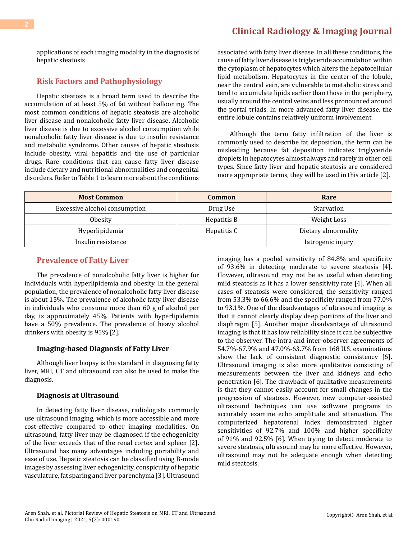applications of each imaging modality in the diagnosis of hepatic steatosis

### **Risk Factors and Pathophysiology**

Hepatic steatosis is a broad term used to describe the accumulation of at least 5% of fat without ballooning. The most common conditions of hepatic steatosis are alcoholic liver disease and nonalcoholic fatty liver disease. Alcoholic liver disease is due to excessive alcohol consumption while nonalcoholic fatty liver disease is due to insulin resistance and metabolic syndrome. Other causes of hepatic steatosis include obesity, viral hepatitis and the use of particular drugs. Rare conditions that can cause fatty liver disease include dietary and nutritional abnormalities and congenital disorders. Refer to Table 1 to learn more about the conditions

associated with fatty liver disease. In all these conditions, the cause of fatty liver disease is triglyceride accumulation within the cytoplasm of hepatocytes which alters the hepatocellular lipid metabolism. Hepatocytes in the center of the lobule, near the central vein, are vulnerable to metabolic stress and tend to accumulate lipids earlier than those in the periphery, usually around the central veins and less pronounced around the portal triads. In more advanced fatty liver disease, the entire lobule contains relatively uniform involvement.

Although the term fatty infiltration of the liver is commonly used to describe fat deposition, the term can be misleading because fat deposition indicates triglyceride droplets in hepatocytes almost always and rarely in other cell types. Since fatty liver and hepatic steatosis are considered more appropriate terms, they will be used in this article [2].

| <b>Most Common</b>            | Common      | Rare                |
|-------------------------------|-------------|---------------------|
| Excessive alcohol consumption | Drug Use    | Starvation          |
| Obesity                       | Hepatitis B | Weight Loss         |
| Hyperlipidemia                | Hepatitis C | Dietary abnormality |
| Insulin resistance            |             | Iatrogenic injury   |

#### **Prevalence of Fatty Liver**

The prevalence of nonalcoholic fatty liver is higher for individuals with hyperlipidemia and obesity. In the general population, the prevalence of nonalcoholic fatty liver disease is about 15%. The prevalence of alcoholic fatty liver disease in individuals who consume more than 60 g of alcohol per day, is approximately 45%. Patients with hyperlipidemia have a 50% prevalence. The prevalence of heavy alcohol drinkers with obesity is 95% [2].

#### **Imaging-based Diagnosis of Fatty Liver**

Although liver biopsy is the standard in diagnosing fatty liver, MRI, CT and ultrasound can also be used to make the diagnosis.

#### **Diagnosis at Ultrasound**

In detecting fatty liver disease, radiologists commonly use ultrasound imaging, which is more accessible and more cost-effective compared to other imaging modalities. On ultrasound, fatty liver may be diagnosed if the echogenicity of the liver exceeds that of the renal cortex and spleen [2]. Ultrasound has many advantages including portability and ease of use. Hepatic steatosis can be classified using B-mode images by assessing liver echogenicity, conspicuity of hepatic vasculature, fat sparing and liver parenchyma [3]. Ultrasound imaging has a pooled sensitivity of 84.8% and specificity of 93.6% in detecting moderate to severe steatosis [4]. However, ultrasound may not be as useful when detecting mild steatosis as it has a lower sensitivity rate [4]. When all cases of steatosis were considered, the sensitivity ranged from 53.3% to 66.6% and the specificity ranged from 77.0% to 93.1%. One of the disadvantages of ultrasound imaging is that it cannot clearly display deep portions of the liver and diaphragm [5]. Another major disadvantage of ultrasound imaging is that it has low reliability since it can be subjective to the observer. The intra-and inter-observer agreements of 54.7%-67.9% and 47.0%-63.7% from 168 U.S. examinations show the lack of consistent diagnostic consistency [6]. Ultrasound imaging is also more qualitative consisting of measurements between the liver and kidneys and echo penetration [6]. The drawback of qualitative measurements is that they cannot easily account for small changes in the progression of steatosis. However, new computer-assisted ultrasound techniques can use software programs to accurately examine echo amplitude and attenuation. The computerized hepatorenal index demonstrated higher sensitivities of 92.7% and 100% and higher specificity of 91% and 92.5% [6]. When trying to detect moderate to severe steatosis, ultrasound may be more effective. However, ultrasound may not be adequate enough when detecting mild steatosis.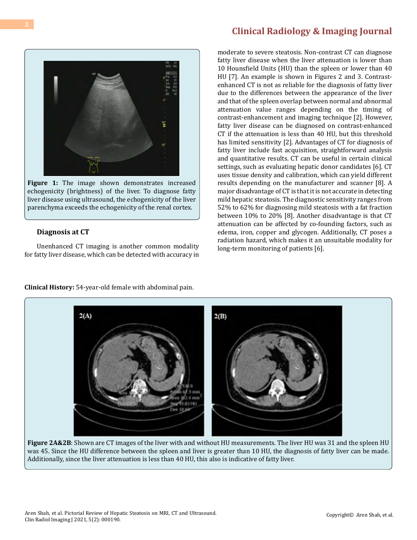# **[Clinical Radiology & Imaging Journal](https://medwinpublishers.com/CRIJ/)**



**Figure 1:** The image shown demonstrates increased echogenicity (brightness) of the liver. To diagnose fatty liver disease using ultrasound, the echogenicity of the liver parenchyma exceeds the echogenicity of the renal cortex.

#### **Diagnosis at CT**

Unenhanced CT imaging is another common modality for fatty liver disease, which can be detected with accuracy in

moderate to severe steatosis. Non-contrast CT can diagnose fatty liver disease when the liver attenuation is lower than 10 Hounsfield Units (HU) than the spleen or lower than 40 HU [7]. An example is shown in Figures 2 and 3. Contrastenhanced CT is not as reliable for the diagnosis of fatty liver due to the differences between the appearance of the liver and that of the spleen overlap between normal and abnormal attenuation value ranges depending on the timing of contrast-enhancement and imaging technique [2]. However, fatty liver disease can be diagnosed on contrast-enhanced CT if the attenuation is less than 40 HU, but this threshold has limited sensitivity [2]. Advantages of CT for diagnosis of fatty liver include fast acquisition, straightforward analysis and quantitative results. CT can be useful in certain clinical settings, such as evaluating hepatic donor candidates [6]. CT uses tissue density and calibration, which can yield different results depending on the manufacturer and scanner [8]. A major disadvantage of CT is that it is not accurate in detecting mild hepatic steatosis. The diagnostic sensitivity ranges from 52% to 62% for diagnosing mild steatosis with a fat fraction between 10% to 20% [8]. Another disadvantage is that CT attenuation can be affected by co-founding factors, such as edema, iron, copper and glycogen. Additionally, CT poses a radiation hazard, which makes it an unsuitable modality for long-term monitoring of patients [6].



**Figure 2A&2B**: Shown are CT images of the liver with and without HU measurements. The liver HU was 31 and the spleen HU was 45. Since the HU difference between the spleen and liver is greater than 10 HU, the diagnosis of fatty liver can be made. Additionally, since the liver attenuation is less than 40 HU, this also is indicative of fatty liver.

**Clinical History:** 54-year-old female with abdominal pain.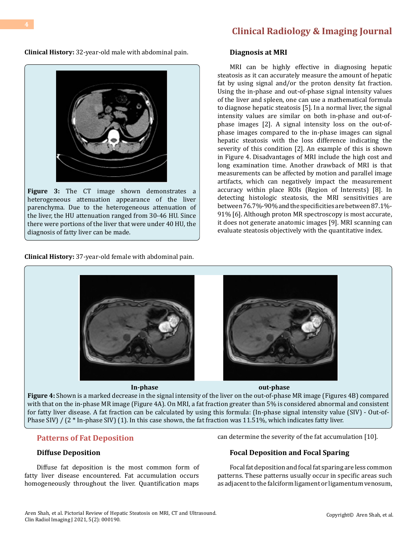# **[Clinical Radiology & Imaging Journal](https://medwinpublishers.com/CRIJ/)**

**Clinical History:** 32-year-old male with abdominal pain.



**Figure 3:** The CT image shown demonstrates a heterogeneous attenuation appearance of the liver parenchyma. Due to the heterogeneous attenuation of the liver, the HU attenuation ranged from 30-46 HU. Since there were portions of the liver that were under 40 HU, the diagnosis of fatty liver can be made.

**Clinical History:** 37-year-old female with abdominal pain.

#### **Diagnosis at MRI**

MRI can be highly effective in diagnosing hepatic steatosis as it can accurately measure the amount of hepatic fat by using signal and/or the proton density fat fraction. Using the in-phase and out-of-phase signal intensity values of the liver and spleen, one can use a mathematical formula to diagnose hepatic steatosis [5]. In a normal liver, the signal intensity values are similar on both in-phase and out-ofphase images [2]. A signal intensity loss on the out-ofphase images compared to the in-phase images can signal hepatic steatosis with the loss difference indicating the severity of this condition [2]. An example of this is shown in Figure 4. Disadvantages of MRI include the high cost and long examination time. Another drawback of MRI is that measurements can be affected by motion and parallel image artifacts, which can negatively impact the measurement accuracy within place ROIs (Region of Interests) [8]. In detecting histologic steatosis, the MRI sensitivities are between 76.7%-90% and the specificities are between 87.1%- 91% [6]. Although proton MR spectroscopy is most accurate, it does not generate anatomic images [9]. MRI scanning can evaluate steatosis objectively with the quantitative index.



**Figure 4:** Shown is a marked decrease in the signal intensity of the liver on the out-of-phase MR image (Figures 4B) compared with that on the in-phase MR image (Figure 4A). On MRI, a fat fraction greater than 5% is considered abnormal and consistent for fatty liver disease. A fat fraction can be calculated by using this formula: (In-phase signal intensity value (SIV) - Out-of-Phase SIV) /  $(2 * In-phase SIV)$  (1). In this case shown, the fat fraction was 11.51%, which indicates fatty liver.

### **Patterns of Fat Deposition**

#### **Diffuse Deposition**

Diffuse fat deposition is the most common form of fatty liver disease encountered. Fat accumulation occurs homogeneously throughout the liver. Quantification maps

#### can determine the severity of the fat accumulation [10].

#### **Focal Deposition and Focal Sparing**

Focal fat deposition and focal fat sparing are less common patterns. These patterns usually occur in specific areas such as adjacent to the falciform ligament or ligamentum venosum,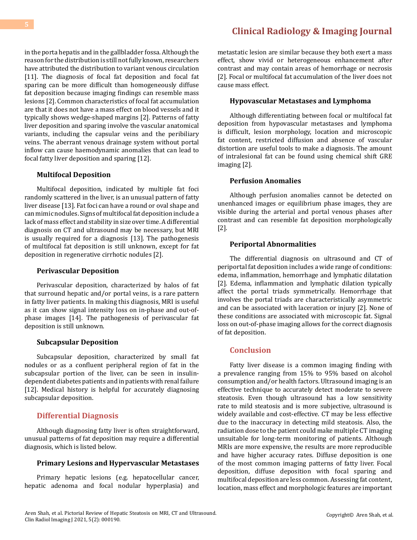in the porta hepatis and in the gallbladder fossa. Although the reason for the distribution is still not fully known, researchers have attributed the distribution to variant venous circulation [11]. The diagnosis of focal fat deposition and focal fat sparing can be more difficult than homogeneously diffuse fat deposition because imaging findings can resemble mass lesions [2]. Common characteristics of focal fat accumulation are that it does not have a mass effect on blood vessels and it typically shows wedge-shaped margins [2]. Patterns of fatty liver deposition and sparing involve the vascular anatomical variants, including the capsular veins and the peribiliary veins. The aberrant venous drainage system without portal inflow can cause haemodynamic anomalies that can lead to focal fatty liver deposition and sparing [12].

#### **Multifocal Deposition**

Multifocal deposition, indicated by multiple fat foci randomly scattered in the liver, is an unusual pattern of fatty liver disease [13]. Fat foci can have a round or oval shape and can mimic nodules. Signs of multifocal fat deposition include a lack of mass effect and stability in size over time. A differential diagnosis on CT and ultrasound may be necessary, but MRI is usually required for a diagnosis [13]. The pathogenesis of multifocal fat deposition is still unknown, except for fat deposition in regenerative cirrhotic nodules [2].

#### **Perivascular Deposition**

Perivascular deposition, characterized by halos of fat that surround hepatic and/or portal veins, is a rare pattern in fatty liver patients. In making this diagnosis, MRI is useful as it can show signal intensity loss on in-phase and out-ofphase images [14]. The pathogenesis of perivascular fat deposition is still unknown.

#### **Subcapsular Deposition**

Subcapsular deposition, characterized by small fat nodules or as a confluent peripheral region of fat in the subcapsular portion of the liver, can be seen in insulindependent diabetes patients and in patients with renal failure [12]. Medical history is helpful for accurately diagnosing subcapsular deposition.

#### **Differential Diagnosis**

Although diagnosing fatty liver is often straightforward, unusual patterns of fat deposition may require a differential diagnosis, which is listed below.

#### **Primary Lesions and Hypervascular Metastases**

Primary hepatic lesions (e.g. hepatocellular cancer, hepatic adenoma and focal nodular hyperplasia) and

# **[Clinical Radiology & Imaging Journal](https://medwinpublishers.com/CRIJ/)**

metastatic lesion are similar because they both exert a mass effect, show vivid or heterogeneous enhancement after contrast and may contain areas of hemorrhage or necrosis [2]. Focal or multifocal fat accumulation of the liver does not cause mass effect.

#### **Hypovascular Metastases and Lymphoma**

Although differentiating between focal or multifocal fat deposition from hypovascular metastases and lymphoma is difficult, lesion morphology, location and microscopic fat content, restricted diffusion and absence of vascular distortion are useful tools to make a diagnosis. The amount of intralesional fat can be found using chemical shift GRE imaging [2].

#### **Perfusion Anomalies**

Although perfusion anomalies cannot be detected on unenhanced images or equilibrium phase images, they are visible during the arterial and portal venous phases after contrast and can resemble fat deposition morphologically [2].

#### **Periportal Abnormalities**

The differential diagnosis on ultrasound and CT of periportal fat deposition includes a wide range of conditions: edema, inflammation, hemorrhage and lymphatic dilatation [2]. Edema, inflammation and lymphatic dilation typically affect the portal triads symmetrically. Hemorrhage that involves the portal triads are characteristically asymmetric and can be associated with laceration or injury [2]. None of these conditions are associated with microscopic fat. Signal loss on out-of-phase imaging allows for the correct diagnosis of fat deposition.

# **Conclusion**

Fatty liver disease is a common imaging finding with a prevalence ranging from 15% to 95% based on alcohol consumption and/or health factors. Ultrasound imaging is an effective technique to accurately detect moderate to severe steatosis. Even though ultrasound has a low sensitivity rate to mild steatosis and is more subjective, ultrasound is widely available and cost-effective. CT may be less effective due to the inaccuracy in detecting mild steatosis. Also, the radiation dose to the patient could make multiple CT imaging unsuitable for long-term monitoring of patients. Although MRIs are more expensive, the results are more reproducible and have higher accuracy rates. Diffuse deposition is one of the most common imaging patterns of fatty liver. Focal deposition, diffuse deposition with focal sparing and multifocal deposition are less common. Assessing fat content, location, mass effect and morphologic features are important